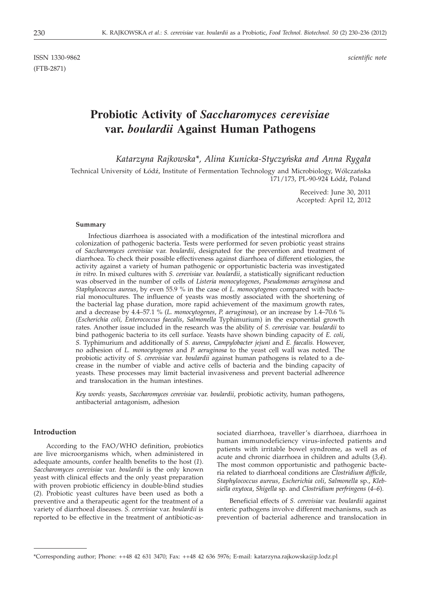ISSN 1330-9862 *scientific note* (FTB-2871)

# **Probiotic Activity of** *Saccharomyces cerevisiae* **var.** *boulardii* **Against Human Pathogens**

*Katarzyna Rajkowska\*, Alina Kunicka-Styczyńska and Anna Rygała* 

Technical University of Łódź, Institute of Fermentation Technology and Microbiology, Wólczańska 171/173, PL-90-924 Łódź, Poland

> Received: June 30, 2011 Accepted: April 12, 2012

#### **Summary**

Infectious diarrhoea is associated with a modification of the intestinal microflora and colonization of pathogenic bacteria. Tests were performed for seven probiotic yeast strains of *Saccharomyces cerevisiae* var. *boulardii*, designated for the prevention and treatment of diarrhoea. To check their possible effectiveness against diarrhoea of different etiologies, the activity against a variety of human pathogenic or opportunistic bacteria was investigated *in vitro*. In mixed cultures with *S. cerevisiae* var. *boulardii*, a statistically significant reduction was observed in the number of cells of *Listeria monocytogenes*, *Pseudomonas aeruginosa* and *Staphylococcus aureus*, by even 55.9 % in the case of *L. monocytogenes* compared with bacterial monocultures. The influence of yeasts was mostly associated with the shortening of the bacterial lag phase duration, more rapid achievement of the maximum growth rates, and a decrease by 4.4–57.1 % (*L. monocytogenes*, *P. aeruginosa*), or an increase by 1.4–70.6 % (*Escherichia coli, Enterococcus faecalis*, *Salmonella* Typhimurium) in the exponential growth rates. Another issue included in the research was the ability of *S. cerevisiae* var. *boulardii* to bind pathogenic bacteria to its cell surface. Yeasts have shown binding capacity of *E. coli*, *S.* Typhimurium and additionally of *S. aureus*, *Campylobacter jejuni* and *E. faecalis.* However, no adhesion of *L. monocytogenes* and *P. aeruginosa* to the yeast cell wall was noted. The probiotic activity of *S. cerevisiae* var. *boulardii* against human pathogens is related to a decrease in the number of viable and active cells of bacteria and the binding capacity of yeasts. These processes may limit bacterial invasiveness and prevent bacterial adherence and translocation in the human intestines.

*Key words:* yeasts, *Saccharomyces cerevisiae* var. *boulardii*, probiotic activity, human pathogens, antibacterial antagonism, adhesion

# **Introduction**

According to the FAO/WHO definition, probiotics are live microorganisms which, when administered in adequate amounts, confer health benefits to the host (*1*). *Saccharomyces cerevisiae* var. *boulardii* is the only known yeast with clinical effects and the only yeast preparation with proven probiotic efficiency in double-blind studies (*2*). Probiotic yeast cultures have been used as both a preventive and a therapeutic agent for the treatment of a variety of diarrhoeal diseases. *S. cerevisiae* var. *boulardii* is reported to be effective in the treatment of antibiotic-as-

sociated diarrhoea, traveller's diarrhoea, diarrhoea in human immunodeficiency virus-infected patients and patients with irritable bowel syndrome, as well as of acute and chronic diarrhoea in children and adults (*3,4*). The most common opportunistic and pathogenic bacteria related to diarrhoeal conditions are *Clostridium difficile*, *Staphylococcus aureus*, *Escherichia coli*, *Salmonella* sp., *Klebsiella oxytoca*, *Shigella* sp. and *Clostridium perfringens* (*4–6*).

Beneficial effects of *S. cerevisiae* var. *boulardii* against enteric pathogens involve different mechanisms, such as prevention of bacterial adherence and translocation in

<sup>\*</sup>Corresponding author; Phone: ++48 42 631 3470; Fax: ++48 42 636 5976; E-mail: katarzyna.rajkowska@p.lodz.pl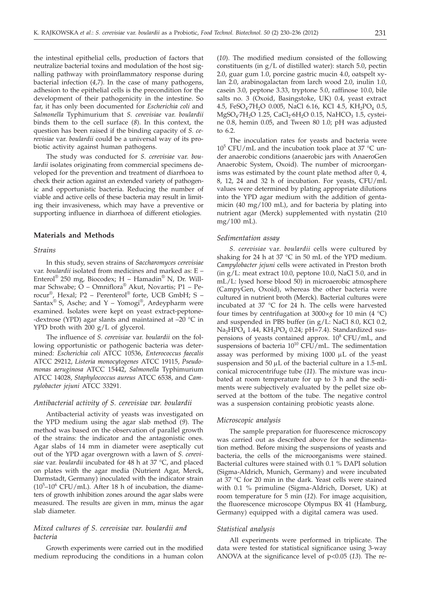the intestinal epithelial cells, production of factors that neutralize bacterial toxins and modulation of the host signalling pathway with proinflammatory response during bacterial infection (*4,7*). In the case of many pathogens, adhesion to the epithelial cells is the precondition for the development of their pathogenicity in the intestine. So far, it has only been documented for *Escherichia coli* and *Salmonella* Typhimurium that *S. cerevisiae* var. *boulardii* binds them to the cell surface (*8*). In this context, the question has been raised if the binding capacity of *S. cerevisiae* var. *boulardii* could be a universal way of its probiotic activity against human pathogens.

The study was conducted for *S. cerevisiae* var. *boulardii* isolates originating from commercial specimens developed for the prevention and treatment of diarrhoea to check their action against an extended variety of pathogenic and opportunistic bacteria. Reducing the number of viable and active cells of these bacteria may result in limiting their invasiveness, which may have a preventive or supporting influence in diarrhoea of different etiologies.

## **Materials and Methods**

### *Strains*

In this study, seven strains of *Saccharomyces cerevisiae* var. *boulardii* isolated from medicines and marked as: E – Enterol® 250 mg, Biocodex; H – Hamadin® N, Dr. Willmar Schwabe; O – Omniflora® Akut, Novartis; P1 – Perocur®, Hexal; P2 – Perenterol® forte, UCB GmbH; S – Santax<sup>®</sup> S, Asche; and Y – Yomogi<sup>®</sup>, Ardeypharm were examined. Isolates were kept on yeast extract-peptone- -dextrose (YPD) agar slants and maintained at  $-20$  °C in YPD broth with 200 g/L of glycerol.

The influence of *S. cerevisiae* var. *boulardii* on the following opportunistic or pathogenic bacteria was determined: *Escherichia coli* ATCC 10536, *Enterococcus faecalis* ATCC 29212, *Listeria monocytogenes* ATCC 19115, *Pseudomonas aeruginosa* ATCC 15442, *Salmonella* Typhimurium ATCC 14028, *Staphylococcus aureus* ATCC 6538, and *Campylobacter jejuni* ATCC 33291.

### *Antibacterial activity of S. cerevisiae var. boulardii*

Antibacterial activity of yeasts was investigated on the YPD medium using the agar slab method (*9*). The method was based on the observation of parallel growth of the strains: the indicator and the antagonistic ones. Agar slabs of 14 mm in diameter were aseptically cut out of the YPD agar overgrown with a lawn of *S. cerevisiae* var. *boulardii* incubated for 48 h at 37 °C, and placed on plates with the agar media (Nutrient Agar, Merck, Darmstadt, Germany) inoculated with the indicator strain  $(10<sup>5</sup>-10<sup>6</sup> CFU/mL)$ . After 18 h of incubation, the diameters of growth inhibition zones around the agar slabs were measured. The results are given in mm, minus the agar slab diameter.

# *Mixed cultures of S. cerevisiae var. boulardii and bacteria*

Growth experiments were carried out in the modified medium reproducing the conditions in a human colon

(*10*). The modified medium consisted of the following constituents (in g/L of distilled water): starch 5.0, pectin 2.0, guar gum 1.0, porcine gastric mucin 4.0, oatspelt xylan 2.0, arabinogalactan from larch wood 2.0, inulin 1.0, casein 3.0, peptone 3.33, tryptone 5.0, raffinose 10.0, bile salts no. 3 (Oxoid, Basingstoke, UK) 0.4, yeast extract 4.5, FeSO<sub>4</sub>·7H<sub>2</sub>O 0.005, NaCl 6.16, KCl 4.5, KH<sub>2</sub>PO<sub>4</sub> 0.5, MgSO<sub>4</sub>·7H<sub>2</sub>O 1.25, CaCl<sub>2</sub>·6H<sub>2</sub>O 0.15, NaHCO<sub>3</sub> 1.5, cysteine 0.8, hemin 0.05, and Tween 80 1.0; pH was adjusted to 6.2.

The inoculation rates for yeasts and bacteria were  $10^5$  CFU/mL and the incubation took place at 37 °C under anaerobic conditions (anaerobic jars with AnaeroGen Anaerobic System, Oxoid). The number of microorganisms was estimated by the count plate method after 0, 4, 8, 12, 24 and 32 h of incubation. For yeasts, CFU/mL values were determined by plating appropriate dilutions into the YPD agar medium with the addition of gentamicin (40 mg/100 mL), and for bacteria by plating into nutrient agar (Merck) supplemented with nystatin (210 mg/100 mL).

#### *Sedimentation assay*

*S. cerevisiae* var. *boulardii* cells were cultured by shaking for 24 h at 37 °C in 50 mL of the YPD medium. *Campylobacter jejuni* cells were activated in Preston broth (in g/L: meat extract 10.0, peptone 10.0, NaCl 5.0, and in mL/L: lysed horse blood 50) in microaerobic atmosphere (CampyGen, Oxoid), whereas the other bacteria were cultured in nutrient broth (Merck). Bacterial cultures were incubated at 37 °C for 24 h. The cells were harvested four times by centrifugation at 3000×*g* for 10 min (4 °C) and suspended in PBS buffer (in g/L: NaCl 8.0, KCl 0.2, Na<sub>2</sub>HPO<sub>4</sub> 1.44, KH<sub>2</sub>PO<sub>4</sub> 0.24; pH=7.4). Standardized suspensions of yeasts contained approx.  $10^8$  CFU/mL, and suspensions of bacteria  $10^{10}$  CFU/mL. The sedimentation assay was performed by mixing  $1000 \mu L$  of the yeast suspension and  $50 \mu L$  of the bacterial culture in a 1.5-mL conical microcentrifuge tube (*11*). The mixture was incubated at room temperature for up to 3 h and the sediments were subjectively evaluated by the pellet size observed at the bottom of the tube. The negative control was a suspension containing probiotic yeasts alone.

#### *Microscopic analysis*

The sample preparation for fluorescence microscopy was carried out as described above for the sedimentation method. Before mixing the suspensions of yeasts and bacteria, the cells of the microorganisms were stained. Bacterial cultures were stained with 0.1 % DAPI solution (Sigma-Aldrich, Munich, Germany) and were incubated at 37 °C for 20 min in the dark. Yeast cells were stained with 0.1 % primuline (Sigma-Aldrich, Dorset, UK) at room temperature for 5 min (*12*). For image acquisition, the fluorescence microscope Olympus BX 41 (Hamburg, Germany) equipped with a digital camera was used.

#### *Statistical analysis*

All experiments were performed in triplicate. The data were tested for statistical significance using 3-way ANOVA at the significance level of p<0.05 (*13*). The re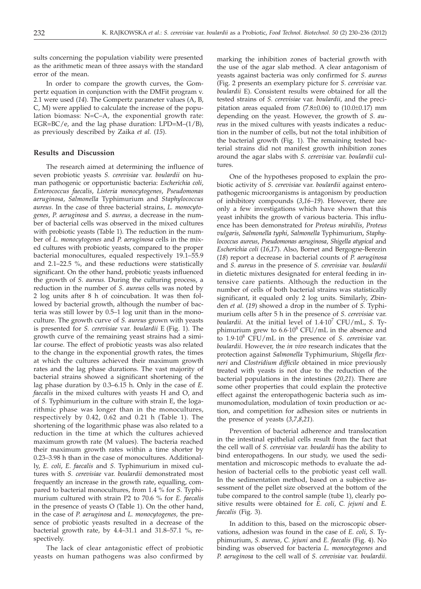sults concerning the population viability were presented as the arithmetic mean of three assays with the standard error of the mean.

In order to compare the growth curves, the Gompertz equation in conjunction with the DMFit program v. 2.1 were used (*14*). The Gompertz parameter values (A, B, C, M) were applied to calculate the increase of the population biomass: N=C–A, the exponential growth rate: EGR=BC/e, and the lag phase duration: LPD=M–(1/B), as previously described by Zaika *et al.* (*15*).

#### **Results and Discussion**

The research aimed at determining the influence of seven probiotic yeasts *S. cerevisiae* var. *boulardii* on human pathogenic or opportunistic bacteria: *Escherichia coli*, *Enterococcus faecalis*, *Listeria monocytogenes*, *Pseudomonas aeruginosa*, *Salmonella* Typhimurium and *Staphylococcus aureus*. In the case of three bacterial strains, *L. monocytogenes*, *P. aeruginosa* and *S. aureus,* a decrease in the number of bacterial cells was observed in the mixed cultures with probiotic yeasts (Table 1). The reduction in the number of *L. monocytogenes* and *P. aeruginosa* cells in the mixed cultures with probiotic yeasts, compared to the proper bacterial monocultures, equaled respectively 19.1–55.9 and 2.1–22.5 %, and these reductions were statistically significant. On the other hand, probiotic yeasts influenced the growth of *S. aureus.* During the culturing process, a reduction in the number of *S. aureus* cells was noted by 2 log units after 8 h of coincubation. It was then followed by bacterial growth, although the number of bacteria was still lower by 0.5–1 log unit than in the monoculture. The growth curve of *S. aureus* grown with yeasts is presented for *S. cerevisiae* var. *boulardii* E (Fig. 1). The growth curve of the remaining yeast strains had a similar course. The effect of probiotic yeasts was also related to the change in the exponential growth rates, the times at which the cultures achieved their maximum growth rates and the lag phase durations. The vast majority of bacterial strains showed a significant shortening of the lag phase duration by 0.3–6.15 h. Only in the case of *E. faecalis* in the mixed cultures with yeasts H and O, and of *S.* Typhimurium in the culture with strain E, the logarithmic phase was longer than in the monocultures, respectively by 0.42, 0.62 and 0.21 h (Table 1). The shortening of the logarithmic phase was also related to a reduction in the time at which the cultures achieved maximum growth rate (M values). The bacteria reached their maximum growth rates within a time shorter by 0.23–3.98 h than in the case of monocultures. Additionally, *E. coli*, *E. faecalis* and *S.* Typhimurium in mixed cultures with *S. cerevisiae* var. *boulardii* demonstrated most frequently an increase in the growth rate, equalling, compared to bacterial monocultures, from 1.4 % for *S.* Typhimurium cultured with strain P2 to 70.6 % for *E. faecalis* in the presence of yeasts O (Table 1). On the other hand, in the case of *P. aeruginosa* and *L. monocytogenes,* the presence of probiotic yeasts resulted in a decrease of the bacterial growth rate, by 4.4–31.1 and 31.8–57.1 %, respectively.

The lack of clear antagonistic effect of probiotic yeasts on human pathogens was also confirmed by marking the inhibition zones of bacterial growth with the use of the agar slab method. A clear antagonism of yeasts against bacteria was only confirmed for *S. aureus* (Fig. 2 presents an exemplary picture for *S. cerevisiae* var. *boulardii* E). Consistent results were obtained for all the tested strains of *S. cerevisiae* var. *boulardii*, and the precipitation areas equaled from  $(7.8\pm0.06)$  to  $(10.0\pm0.17)$  mm depending on the yeast. However, the growth of *S. aureus* in the mixed cultures with yeasts indicates a reduction in the number of cells, but not the total inhibition of the bacterial growth (Fig. 1). The remaining tested bacterial strains did not manifest growth inhibition zones around the agar slabs with *S. cerevisiae* var. *boulardii* cultures.

One of the hypotheses proposed to explain the probiotic activity of *S. cerevisiae* var. *boulardii* against enteropathogenic microorganisms is antagonism by production of inhibitory compounds (*3*,*16–19*). However, there are only a few investigations which have shown that this yeast inhibits the growth of various bacteria. This influence has been demonstrated for *Proteus mirabilis*, *Proteus vulgaris*, *Salmonella typhi*, *Salmonella* Typhimurium, *Staphylococcus aureus*, *Pseudomonas aeruginosa*, *Shigella atypical* and *Escherichia coli* (*16*,*17*). Also, Bornet and Bergogne-Berezin (*18*) report a decrease in bacterial counts of *P. aeruginosa* and *S. aureus* in the presence of *S. cerevisiae* var. *boulardii* in dietetic mixtures designated for enteral feeding in intensive care patients. Although the reduction in the number of cells of both bacterial strains was statistically significant, it equaled only 2 log units. Similarly, Zbinden *et al.* (*19*) showed a drop in the number of *S.* Typhimurium cells after 5 h in the presence of *S. cerevisiae* var. *boulardii*. At the initial level of 1.4·10<sup>7</sup> CFU/mL, *S.* Typhimurium grew to  $6.6 \cdot 10^8$  CFU/mL in the absence and to 1.9·108 CFU/mL in the presence of *S. cerevisiae* var. *boulardii*. However, the *in vivo* research indicates that the protection against *Salmonella* Typhimurium, *Shigella flexneri* and *Clostridium difficile* obtained in mice previously treated with yeasts is not due to the reduction of the bacterial populations in the intestines (*20,21*). There are some other properties that could explain the protective effect against the enteropathogenic bacteria such as immunomodulation, modulation of toxin production or action, and competition for adhesion sites or nutrients in the presence of yeasts (*3*,*7*,*8*,*21*).

Prevention of bacterial adherence and translocation in the intestinal epithelial cells result from the fact that the cell wall of *S. cerevisiae* var. *boulardii* has the ability to bind enteropathogens. In our study, we used the sedimentation and microscopic methods to evaluate the adhesion of bacterial cells to the probiotic yeast cell wall. In the sedimentation method, based on a subjective assessment of the pellet size observed at the bottom of the tube compared to the control sample (tube 1), clearly positive results were obtained for *E. coli*, *C. jejuni* and *E. faecalis* (Fig. 3).

In addition to this, based on the microscopic observations, adhesion was found in the case of *E. coli*, *S.* Typhimurium, *S. aureus*, *C. jejuni* and *E. faecalis* (Fig. 4). No binding was observed for bacteria *L. monocytogenes* and *P. aeruginosa* to the cell wall of *S. cerevisiae* var. *boulardii*.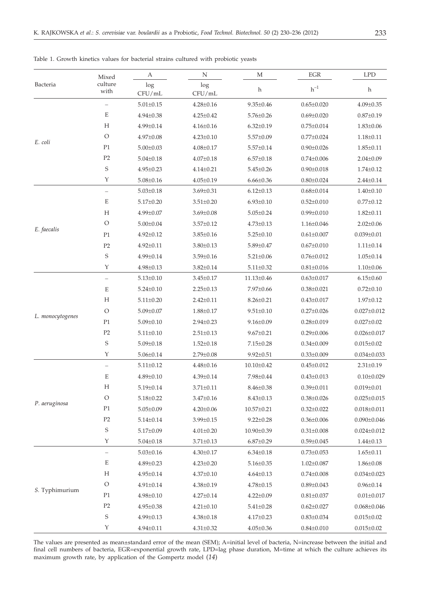| Bacteria         | Mixed<br>culture<br>with | А               | Ν               | M                | EGR                | <b>LPD</b>        |
|------------------|--------------------------|-----------------|-----------------|------------------|--------------------|-------------------|
|                  |                          | log<br>CFU/mL   | log<br>CFU/mL   | h                | $h^{-1}$           | h                 |
| E. coli          | $\overline{\phantom{0}}$ | $5.01 \pm 0.15$ | $4.28 \pm 0.16$ | $9.35 \pm 0.46$  | $0.65 \pm 0.020$   | $4.09 \pm 0.35$   |
|                  | $\mathbf E$              | $4.94 \pm 0.38$ | $4.25 \pm 0.42$ | $5.76 \pm 0.26$  | $0.69 \pm 0.020$   | $0.87 \pm 0.19$   |
|                  | H                        | $4.99 \pm 0.14$ | $4.16 \pm 0.16$ | $6.32 \pm 0.19$  | $0.75 \pm 0.014$   | $1.83 \pm 0.06$   |
|                  | O                        | $4.97 \pm 0.08$ | $4.23 \pm 0.10$ | $5.57 \pm 0.09$  | $0.77 \pm 0.024$   | $1.18 \pm 0.11$   |
|                  | P1                       | $5.00 \pm 0.03$ | $4.08 \pm 0.17$ | $5.57 \pm 0.14$  | $0.90 \pm 0.026$   | $1.85 \pm 0.11$   |
|                  | $\mathbf{P2}$            | $5.04 \pm 0.18$ | $4.07 \pm 0.18$ | $6.57 \pm 0.18$  | $0.74 \pm 0.006$   | $2.04 \pm 0.09$   |
|                  | $\mathbf S$              | $4.95 \pm 0.23$ | $4.14 \pm 0.21$ | $5.45 \pm 0.26$  | $0.90 \pm 0.018$   | $1.74 \pm 0.12$   |
|                  | $\mathbf Y$              | $5.08 \pm 0.16$ | $4.05 \pm 0.19$ | $6.66 \pm 0.36$  | $0.80 \pm 0.024$   | $2.44 \pm 0.14$   |
| E. faecalis      | $\equiv$                 | $5.03 \pm 0.18$ | $3.69 \pm 0.31$ | $6.12 \pm 0.13$  | $0.68{\pm0.014}$   | $1.40 \pm 0.10$   |
|                  | $\mathbf E$              | $5.17 \pm 0.20$ | $3.51 \pm 0.20$ | $6.93 \pm 0.10$  | $0.52 \pm 0.010$   | $0.77 \pm 0.12$   |
|                  | H                        | 4.99±0.07       | $3.69 \pm 0.08$ | $5.05 \pm 0.24$  | $0.99 \pm 0.010$   | $1.82 \pm 0.11$   |
|                  | $\circ$                  | $5.00 \pm 0.04$ | $3.57 \pm 0.12$ | $4.73 \pm 0.13$  | $1.16 \pm 0.046$   | $2.02 \pm 0.06$   |
|                  | P <sub>1</sub>           | $4.92 \pm 0.12$ | $3.85 \pm 0.16$ | $5.25 \pm 0.10$  | $0.61 \pm 0.007$   | $0.039 \pm 0.01$  |
|                  | P2                       | $4.92 \pm 0.11$ | $3.80 \pm 0.13$ | $5.89 \pm 0.47$  | $0.67 \pm 0.010$   | $1.11 \pm 0.14$   |
|                  | $\mathbf S$              | $4.99 \pm 0.14$ | $3.59 \pm 0.16$ | $5.21 \pm 0.06$  | $0.76 \pm 0.012$   | $1.05 \pm 0.14$   |
|                  | Y                        | $4.98 \pm 0.13$ | $3.82 \pm 0.14$ | $5.11 \pm 0.32$  | $0.81 \pm 0.016$   | $1.10 \pm 0.06$   |
| L. monocytogenes | $\overline{\phantom{0}}$ | $5.13 \pm 0.10$ | $3.45 \pm 0.17$ | $11.13 \pm 0.46$ | $0.63 \pm 0.017$   | $6.15 \pm 0.60$   |
|                  | $\mathbf E$              | $5.24 \pm 0.10$ | $2.25 \pm 0.13$ | 7.97±0.66        | $0.38 \pm 0.021$   | $0.72 \pm 0.10$   |
|                  | $H_{\rm}$                | $5.11 \pm 0.20$ | $2.42 \pm 0.11$ | $8.26 \pm 0.21$  | $0.43 \pm 0.017$   | $1.97 \pm 0.12$   |
|                  | $\circ$                  | $5.09 \pm 0.07$ | $1.88 \pm 0.17$ | $9.51 \pm 0.10$  | $0.27 \pm 0.026$   | $0.027 \pm 0.012$ |
|                  | P1                       | $5.09 \pm 0.10$ | $2.94 \pm 0.23$ | $9.16 \pm 0.09$  | $0.28 \pm 0.019$   | $0.027 \pm 0.02$  |
|                  | P2                       | $5.11 \pm 0.10$ | $2.51 \pm 0.13$ | $9.67 \pm 0.21$  | $0.29 \pm 0.006$   | $0.026 \pm 0.017$ |
|                  | $\mathbf S$              | $5.09 \pm 0.18$ | $1.52 \pm 0.18$ | $7.15 \pm 0.28$  | $0.34 \pm 0.009$   | $0.015 \pm 0.02$  |
|                  | Y                        | $5.06 \pm 0.14$ | $2.79 \pm 0.08$ | $9.92 \pm 0.51$  | $0.33 \pm 0.009$   | $0.034 \pm 0.033$ |
| P. aeruginosa    | $\equiv$                 | $5.11 \pm 0.12$ | $4.48 \pm 0.16$ | $10.10 \pm 0.42$ | $0.45 \pm 0.012$   | $2.31 \pm 0.19$   |
|                  | $\mathbf E$              | $4.89 \pm 0.10$ | $4.39 \pm 0.14$ | $7.98 \pm 0.44$  | $0.43 \pm 0.013$   | $0.10 \pm 0.029$  |
|                  | $H_{\rm}$                | $5.19 \pm 0.14$ | $3.71 \pm 0.11$ | $8.46 \pm 0.38$  | $0.39 \pm 0.011$   | $0.019 \pm 0.01$  |
|                  | $\circ$                  | $5.18 \pm 0.22$ | $3.47 \pm 0.16$ | $8.43 \pm 0.13$  | $0.38 \pm 0.026$   | $0.025 \pm 0.015$ |
|                  | P1                       | $5.05 \pm 0.09$ | $4.20 \pm 0.06$ | $10.57 \pm 0.21$ | $0.32 \pm 0.022$   | $0.018 \pm 0.011$ |
|                  | P <sub>2</sub>           | $5.14 \pm 0.14$ | 3.99±0.15       | $9.22 \pm 0.28$  | $0.36 \pm 0.006$   | $0.090 \pm 0.046$ |
|                  | $\mathbf S$              | $5.17 \pm 0.09$ | $4.01 \pm 0.20$ | 10.90±0.39       | $0.31 \pm 0.008$   | $0.024 \pm 0.012$ |
|                  | Υ                        | $5.04 \pm 0.18$ | $3.71 \pm 0.13$ | $6.87{\pm}0.29$  | $0.59 \pm 0.045$   | $1.44 \pm 0.13$   |
| S. Typhimurium   | $\qquad \qquad -$        | $5.03 \pm 0.16$ | $4.30 \pm 0.17$ | $6.34 \pm 0.18$  | $0.73 \pm 0.053$   | $1.65 \pm 0.11$   |
|                  | E                        | $4.89 \pm 0.23$ | $4.23 \pm 0.20$ | $5.16 \pm 0.35$  | $1.02 \pm 0.087$   | $1.86 \pm 0.08$   |
|                  | H                        | $4.95 \pm 0.14$ | $4.37 \pm 0.10$ | $4.64 \pm 0.13$  | $0.74 \pm 0.008$   | $0.034 \pm 0.023$ |
|                  | O                        | $4.91 \pm 0.14$ | $4.38 \pm 0.19$ | $4.78 \pm 0.15$  | $0.89 \pm 0.043$   | $0.96 \pm 0.14$   |
|                  | P <sub>1</sub>           | $4.98 \pm 0.10$ | $4.27 \pm 0.14$ | $4.22 \pm 0.09$  | $0.81 \pm 0.037$   | $0.01 \pm 0.017$  |
|                  | P2                       | $4.95 \pm 0.38$ | $4.21 \pm 0.10$ | $5.41 \pm 0.28$  | $0.62 \pm 0.027$   | $0.068 \pm 0.046$ |
|                  | $\mathbf S$              | $4.99 \pm 0.13$ | $4.38 \pm 0.18$ | $4.17 \pm 0.23$  | $0.83 \pm 0.034$   | $0.015 \pm 0.02$  |
|                  | Y                        | $4.94 \pm 0.11$ | $4.31 \pm 0.32$ | $4.05 \pm 0.36$  | $0.84 {\pm 0.010}$ | $0.015 \pm 0.02$  |

Table 1. Growth kinetics values for bacterial strains cultured with probiotic yeasts

The values are presented as mean±standard error of the mean (SEM); A=initial level of bacteria, N=increase between the initial and final cell numbers of bacteria, EGR=exponential growth rate, LPD=lag phase duration, M=time at which the culture achieves its maximum growth rate, by application of the Gompertz model (*14*)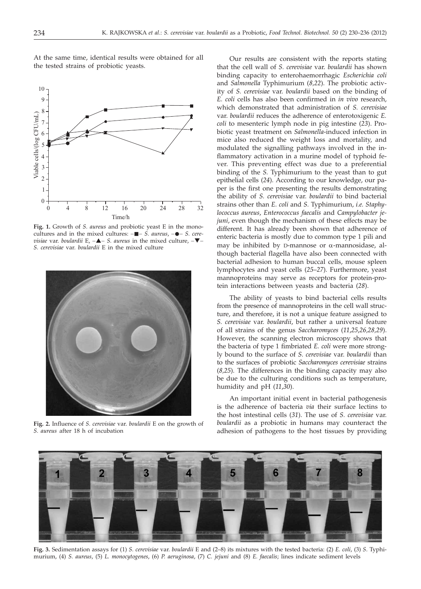

At the same time, identical results were obtained for all the tested strains of probiotic yeasts.

Fig. 1. Growth of *S. aureus* and probiotic yeast E in the monocultures and in the mixed cultures:  $-\blacksquare - S$ . *aureus*,  $-\blacklozenge - S$ . cere*visiae* var. *boulardii* E, -▲- S. *aureus* in the mixed culture, -▼-*S. cerevisiae* var. *boulardii* E in the mixed culture



**Fig. 2.** Influence of *S. cerevisiae* var. *boulardii* E on the growth of *S. aureus* after 18 h of incubation

Our results are consistent with the reports stating that the cell wall of *S. cerevisiae* var. *boulardii* has shown binding capacity to enterohaemorrhagic *Escherichia coli* and *Salmonella* Typhimurium (*8,22*). The probiotic activity of *S. cerevisiae* var. *boulardii* based on the binding of *E. coli* cells has also been confirmed in *in vivo* research, which demonstrated that administration of *S. cerevisiae* var. *boulardii* reduces the adherence of enterotoxigenic *E. coli* to mesenteric lymph node in pig intestine (*23*). Probiotic yeast treatment on *Salmonella*-induced infection in mice also reduced the weight loss and mortality, and modulated the signalling pathways involved in the inflammatory activation in a murine model of typhoid fever. This preventing effect was due to a preferential binding of the *S.* Typhimurium to the yeast than to gut epithelial cells (*24*). According to our knowledge, our paper is the first one presenting the results demonstrating the ability of *S. cerevisiae* var. *boulardii* to bind bacterial strains other than *E. coli* and *S.* Typhimurium, *i.e. Staphylococcus aureus*, *Enterococcus faecalis* and *Campylobacter jejuni*, even though the mechanism of these effects may be different. It has already been shown that adherence of enteric bacteria is mostly due to common type 1 pili and may be inhibited by D-mannose or  $\alpha$ -mannosidase, although bacterial flagella have also been connected with bacterial adhesion to human buccal cells, mouse spleen lymphocytes and yeast cells (*25*–*27*). Furthermore, yeast mannoproteins may serve as receptors for protein-protein interactions between yeasts and bacteria (*28*).

The ability of yeasts to bind bacterial cells results from the presence of mannoproteins in the cell wall structure, and therefore, it is not a unique feature assigned to *S. cerevisiae* var. *boulardii*, but rather a universal feature of all strains of the genus *Saccharomyces* (*11*,*25*,*26,28,29*). However, the scanning electron microscopy shows that the bacteria of type 1 fimbriated *E. coli* were more strongly bound to the surface of *S. cerevisiae* var. *boulardii* than to the surfaces of probiotic *Saccharomyces cerevisiae* strains (*8,25*). The differences in the binding capacity may also be due to the culturing conditions such as temperature, humidity and pH (*11*,*30*).

An important initial event in bacterial pathogenesis is the adherence of bacteria *via* their surface lectins to the host intestinal cells (*31*). The use of *S. cerevisiae* var. *boulardii* as a probiotic in humans may counteract the adhesion of pathogens to the host tissues by providing



**Fig. 3.** Sedimentation assays for (1) *S. cerevisiae* var. *boulardii* E and (2–8) its mixtures with the tested bacteria: (2) *E. coli*, (3) *S*. Typhi-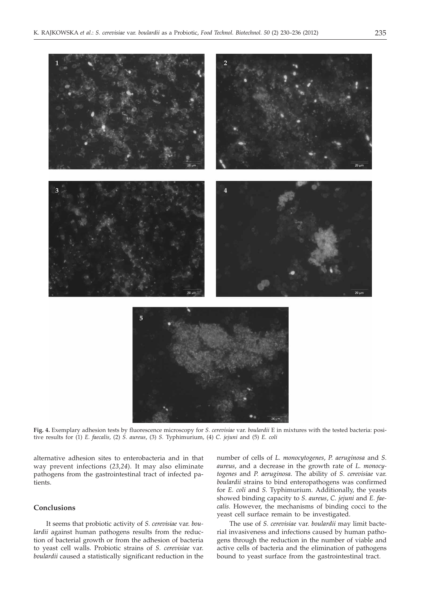







**Fig. 4.** Exemplary adhesion tests by fluorescence microscopy for *S. cerevisiae* var. *boulardii* E in mixtures with the tested bacteria: positive results for (1) *E. faecalis*, (2) *S. aureus*, (3) *S.* Typhimurium, (4) *C. jejuni* and (5) *E. coli*

alternative adhesion sites to enterobacteria and in that way prevent infections (*23,24*). It may also eliminate pathogens from the gastrointestinal tract of infected patients.

# **Conclusions**

It seems that probiotic activity of *S. cerevisiae* var. *boulardii* against human pathogens results from the reduction of bacterial growth or from the adhesion of bacteria to yeast cell walls. Probiotic strains of *S. cerevisiae* var. *boulardii* caused a statistically significant reduction in the number of cells of *L. monocytogenes*, *P. aeruginosa* and *S. aureus*, and a decrease in the growth rate of *L. monocytogenes* and *P. aeruginosa*. The ability of *S. cerevisiae* var. *boulardii* strains to bind enteropathogens was confirmed for *E. coli* and *S.* Typhimurium. Additionally, the yeasts showed binding capacity to *S. aureus*, *C. jejuni* and *E. faecalis.* However, the mechanisms of binding cocci to the yeast cell surface remain to be investigated.

The use of *S. cerevisiae* var. *boulardii* may limit bacterial invasiveness and infections caused by human pathogens through the reduction in the number of viable and active cells of bacteria and the elimination of pathogens bound to yeast surface from the gastrointestinal tract.